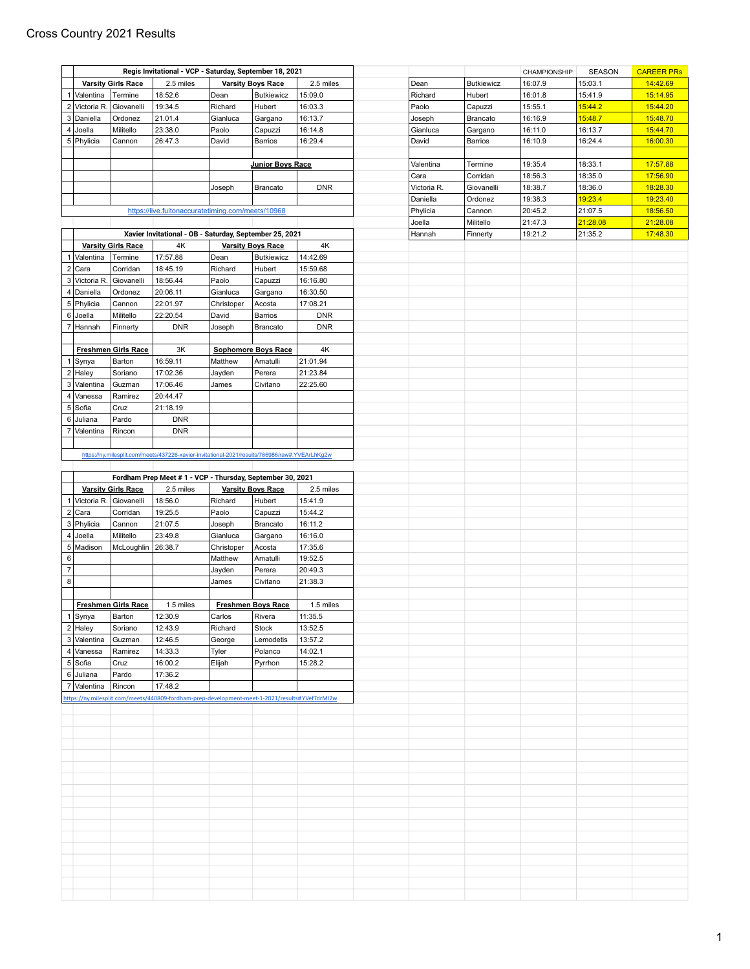## Cross Country 2021 Results

|                               |                            | Regis Invitational - VCP - Saturday, September 18, 2021                                         |            |                            |            |
|-------------------------------|----------------------------|-------------------------------------------------------------------------------------------------|------------|----------------------------|------------|
|                               | <b>Varsity Girls Race</b>  | 2.5 miles                                                                                       |            | <b>Varsity Boys Race</b>   | 2.5 miles  |
| $\mathbf{1}$<br>Valentina     | Termine                    | 18:52.6                                                                                         | Dean       | <b>Butkiewicz</b>          | 15:09.0    |
| $\overline{c}$<br>Victoria R. | Giovanelli                 | 19:34.5                                                                                         | Richard    | Hubert                     | 16:03.3    |
| 3<br>Daniella                 | Ordonez                    | 21.01.4                                                                                         | Gianluca   | Gargano                    | 16:13.7    |
| 4<br>Joella                   | Militello                  | 23:38.0                                                                                         | Paolo      | Capuzzi                    | 16:14.8    |
| 5 Phylicia                    | Cannon                     | 26:47.3                                                                                         | David      | Barrios                    | 16:29.4    |
|                               |                            |                                                                                                 |            |                            |            |
|                               |                            |                                                                                                 |            | <b>Junior Boys Race</b>    |            |
|                               |                            |                                                                                                 |            |                            |            |
|                               |                            |                                                                                                 | Joseph     | <b>Brancato</b>            | <b>DNR</b> |
|                               |                            |                                                                                                 |            |                            |            |
|                               |                            |                                                                                                 |            |                            |            |
|                               |                            | https://live.fultonaccuratetiming.com/meets/10968                                               |            |                            |            |
|                               |                            |                                                                                                 |            |                            |            |
|                               |                            | Xavier Invitational - OB - Saturday, September 25, 2021<br>4K                                   |            |                            | 4K         |
| $\overline{1}$                | <b>Varsity Girls Race</b>  | 17:57.88                                                                                        |            | <b>Varsity Boys Race</b>   | 14:42.69   |
| Valentina<br>$\overline{2}$   | Termine                    |                                                                                                 | Dean       | <b>Butkiewicz</b>          |            |
| Cara                          | Corridan                   | 18:45.19                                                                                        | Richard    | Hubert                     | 15:59.68   |
| 3<br>Victoria R.              | Giovanelli                 | 18:56.44                                                                                        | Paolo      | Capuzzi                    | 16:16.80   |
| 4 Daniella                    | Ordonez                    | 20:06.11                                                                                        | Gianluca   | Gargano                    | 16:30.50   |
| 5 Phylicia                    | Cannon                     | 22:01.97                                                                                        | Christoper | Acosta                     | 17:08.21   |
| 6 Joella                      | Militello                  | 22:20.54                                                                                        | David      | Barrios                    | <b>DNR</b> |
| 7 Hannah                      | Finnerty                   | <b>DNR</b>                                                                                      | Joseph     | Brancato                   | <b>DNR</b> |
|                               |                            |                                                                                                 |            |                            |            |
|                               | <b>Freshmen Girls Race</b> | 3K                                                                                              |            | <b>Sophomore Boys Race</b> | 4K         |
| 1 Synya                       | Barton                     | 16:59.11                                                                                        | Matthew    | Amatulli                   | 21:01.94   |
| $2$ Haley                     | Soriano                    | 17:02.36                                                                                        | Jayden     | Perera                     | 21:23.84   |
| 3 Valentina                   | Guzman                     | 17:06.46                                                                                        | James      | Civitano                   | 22:25.60   |
| Vanessa<br>4                  | Ramirez                    | 20:44.47                                                                                        |            |                            |            |
|                               |                            |                                                                                                 |            |                            |            |
| $\,$ 5 $\,$<br>Sofia          | Cruz                       | 21:18.19                                                                                        |            |                            |            |
| 6<br>Juliana                  | Pardo                      | <b>DNR</b>                                                                                      |            |                            |            |
| 7<br>Valentina                | Rincon                     | <b>DNR</b>                                                                                      |            |                            |            |
|                               |                            |                                                                                                 |            |                            |            |
|                               |                            | https://ny.milesplit.com/meets/437226-xavier-invitational-2021/results/766986/raw#.YVEArLhKg2w  |            |                            |            |
|                               |                            |                                                                                                 |            |                            |            |
|                               |                            | Fordham Prep Meet #1 - VCP - Thursday, September 30, 2021                                       |            |                            |            |
| <b>Varsity Girls Race</b>     |                            |                                                                                                 |            |                            |            |
|                               |                            |                                                                                                 |            |                            |            |
|                               |                            | 2.5 miles                                                                                       |            | <b>Varsity Boys Race</b>   | 2.5 miles  |
| Victoria R.<br>-1             | Giovanelli                 | 18:56.0                                                                                         | Richard    | Hubert                     | 15:41.9    |
| 2 Cara                        | Corridan                   | 19:25.5                                                                                         | Paolo      | Capuzzi                    | 15:44.2    |
| 3 Phylicia                    | Cannon                     | 21:07.5                                                                                         | Joseph     | <b>Brancato</b>            | 16:11.2    |
| 4<br>Joella                   | Militello                  | 23:49.8                                                                                         | Gianluca   | Gargano                    | 16:16.0    |
| 5 Madison                     | McLoughlin                 | 26:38.7                                                                                         | Christoper | Acosta                     | 17:35.6    |
| $\,6\,$                       |                            |                                                                                                 | Matthew    | Amatulli                   | 19:52.5    |
| $\overline{7}$                |                            |                                                                                                 | Jayden     | Perera                     | 20:49.3    |
|                               |                            |                                                                                                 | James      | Civitano                   | 21:38.3    |
|                               |                            |                                                                                                 |            |                            |            |
| 8                             |                            | 1.5 miles                                                                                       |            |                            | 1.5 miles  |
|                               | <b>Freshmen Girls Race</b> |                                                                                                 |            | <b>Freshmen Boys Race</b>  |            |
| 1 Synya                       | Barton                     | 12:30.9                                                                                         | Carlos     | Rivera                     | 11:35.5    |
| $2$ Haley                     | Soriano                    | 12:43.9                                                                                         | Richard    | Stock                      | 13:52.5    |
| 3 Valentina                   | Guzman                     | 12:46.5                                                                                         | George     | Lemodetis                  | 13:57.2    |
| 4 Vanessa                     | Ramirez                    | 14:33.3                                                                                         | Tyler      | Polanco                    | 14:02.1    |
| 5 Sofia                       | Cruz                       | 16:00.2                                                                                         | Elijah     | Pyrrhon                    | 15:28.2    |
| 6 Juliana                     | Pardo                      | 17:36.2                                                                                         |            |                            |            |
| 7 Valentina                   | Rincon                     | 17:48.2                                                                                         |            |                            |            |
|                               |                            | https://ny.milesplit.com/meets/440809-fordham-prep-development-meet-1-2021/results#.YVefTdrMI2w |            |                            |            |
|                               |                            |                                                                                                 |            |                            |            |
|                               |                            |                                                                                                 |            |                            |            |
|                               |                            |                                                                                                 |            |                            |            |
|                               |                            |                                                                                                 |            |                            |            |
|                               |                            |                                                                                                 |            |                            |            |
|                               |                            |                                                                                                 |            |                            |            |
|                               |                            |                                                                                                 |            |                            |            |
|                               |                            |                                                                                                 |            |                            |            |
|                               |                            |                                                                                                 |            |                            |            |
|                               |                            |                                                                                                 |            |                            |            |
|                               |                            |                                                                                                 |            |                            |            |
|                               |                            |                                                                                                 |            |                            |            |
|                               |                            |                                                                                                 |            |                            |            |
|                               |                            |                                                                                                 |            |                            |            |
|                               |                            |                                                                                                 |            |                            |            |
|                               |                            |                                                                                                 |            |                            |            |
|                               |                            |                                                                                                 |            |                            |            |
|                               |                            |                                                                                                 |            |                            |            |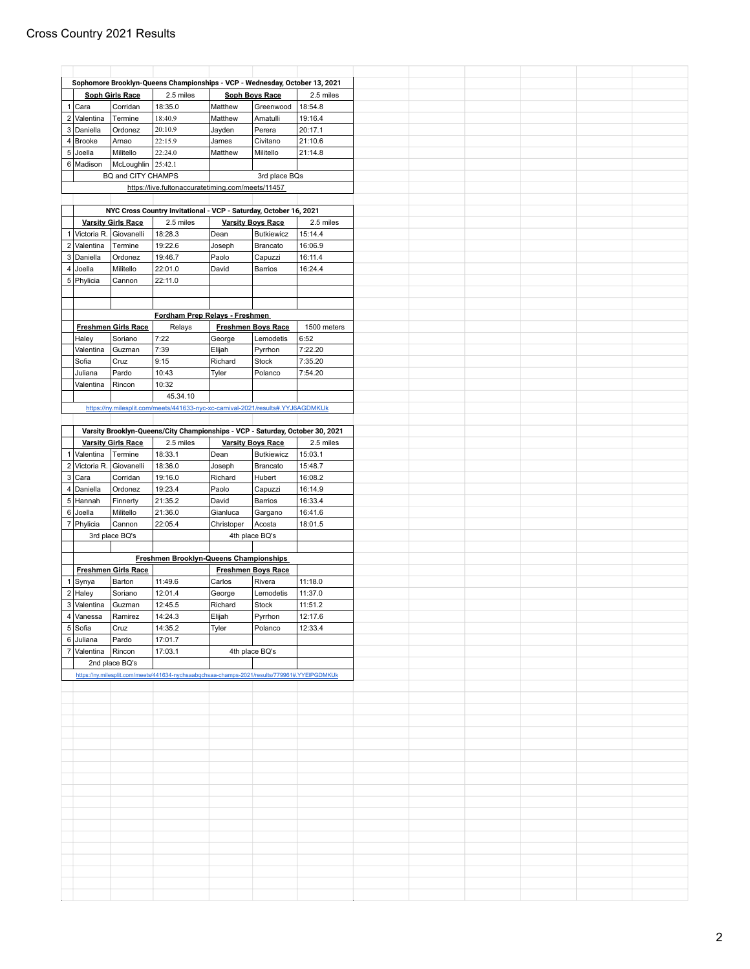|                |                |                                                                                                                                                                                                                                                                                                                                                                    |                                                                                                                                                                                                                                                                                           |                                                                                                                                        | 2.5 miles                                                                                                                                                                                                                                                                                                                                                                                                                                                                                                                                                                                                                                                                                                                                                                                                               |
|----------------|----------------|--------------------------------------------------------------------------------------------------------------------------------------------------------------------------------------------------------------------------------------------------------------------------------------------------------------------------------------------------------------------|-------------------------------------------------------------------------------------------------------------------------------------------------------------------------------------------------------------------------------------------------------------------------------------------|----------------------------------------------------------------------------------------------------------------------------------------|-------------------------------------------------------------------------------------------------------------------------------------------------------------------------------------------------------------------------------------------------------------------------------------------------------------------------------------------------------------------------------------------------------------------------------------------------------------------------------------------------------------------------------------------------------------------------------------------------------------------------------------------------------------------------------------------------------------------------------------------------------------------------------------------------------------------------|
|                |                |                                                                                                                                                                                                                                                                                                                                                                    |                                                                                                                                                                                                                                                                                           |                                                                                                                                        | 18:54.8                                                                                                                                                                                                                                                                                                                                                                                                                                                                                                                                                                                                                                                                                                                                                                                                                 |
| $2$ Valentina  |                |                                                                                                                                                                                                                                                                                                                                                                    |                                                                                                                                                                                                                                                                                           |                                                                                                                                        | 19:16.4                                                                                                                                                                                                                                                                                                                                                                                                                                                                                                                                                                                                                                                                                                                                                                                                                 |
| 3 Daniella     |                |                                                                                                                                                                                                                                                                                                                                                                    |                                                                                                                                                                                                                                                                                           |                                                                                                                                        | 20:17.1                                                                                                                                                                                                                                                                                                                                                                                                                                                                                                                                                                                                                                                                                                                                                                                                                 |
|                |                |                                                                                                                                                                                                                                                                                                                                                                    |                                                                                                                                                                                                                                                                                           |                                                                                                                                        |                                                                                                                                                                                                                                                                                                                                                                                                                                                                                                                                                                                                                                                                                                                                                                                                                         |
| Brooke         |                |                                                                                                                                                                                                                                                                                                                                                                    |                                                                                                                                                                                                                                                                                           |                                                                                                                                        | 21:10.6                                                                                                                                                                                                                                                                                                                                                                                                                                                                                                                                                                                                                                                                                                                                                                                                                 |
| Joella         |                |                                                                                                                                                                                                                                                                                                                                                                    |                                                                                                                                                                                                                                                                                           |                                                                                                                                        | 21:14.8                                                                                                                                                                                                                                                                                                                                                                                                                                                                                                                                                                                                                                                                                                                                                                                                                 |
| 6 Madison      |                |                                                                                                                                                                                                                                                                                                                                                                    |                                                                                                                                                                                                                                                                                           |                                                                                                                                        |                                                                                                                                                                                                                                                                                                                                                                                                                                                                                                                                                                                                                                                                                                                                                                                                                         |
|                |                |                                                                                                                                                                                                                                                                                                                                                                    |                                                                                                                                                                                                                                                                                           | 3rd place BQs                                                                                                                          |                                                                                                                                                                                                                                                                                                                                                                                                                                                                                                                                                                                                                                                                                                                                                                                                                         |
|                |                |                                                                                                                                                                                                                                                                                                                                                                    |                                                                                                                                                                                                                                                                                           |                                                                                                                                        |                                                                                                                                                                                                                                                                                                                                                                                                                                                                                                                                                                                                                                                                                                                                                                                                                         |
|                |                |                                                                                                                                                                                                                                                                                                                                                                    |                                                                                                                                                                                                                                                                                           |                                                                                                                                        |                                                                                                                                                                                                                                                                                                                                                                                                                                                                                                                                                                                                                                                                                                                                                                                                                         |
|                |                |                                                                                                                                                                                                                                                                                                                                                                    |                                                                                                                                                                                                                                                                                           |                                                                                                                                        |                                                                                                                                                                                                                                                                                                                                                                                                                                                                                                                                                                                                                                                                                                                                                                                                                         |
|                |                |                                                                                                                                                                                                                                                                                                                                                                    |                                                                                                                                                                                                                                                                                           |                                                                                                                                        | 2.5 miles                                                                                                                                                                                                                                                                                                                                                                                                                                                                                                                                                                                                                                                                                                                                                                                                               |
| Victoria R.    |                |                                                                                                                                                                                                                                                                                                                                                                    |                                                                                                                                                                                                                                                                                           |                                                                                                                                        | 15:14.4                                                                                                                                                                                                                                                                                                                                                                                                                                                                                                                                                                                                                                                                                                                                                                                                                 |
| Valentina      |                |                                                                                                                                                                                                                                                                                                                                                                    |                                                                                                                                                                                                                                                                                           |                                                                                                                                        | 16:06.9                                                                                                                                                                                                                                                                                                                                                                                                                                                                                                                                                                                                                                                                                                                                                                                                                 |
| Daniella       |                |                                                                                                                                                                                                                                                                                                                                                                    |                                                                                                                                                                                                                                                                                           |                                                                                                                                        | 16:11.4                                                                                                                                                                                                                                                                                                                                                                                                                                                                                                                                                                                                                                                                                                                                                                                                                 |
|                |                |                                                                                                                                                                                                                                                                                                                                                                    |                                                                                                                                                                                                                                                                                           |                                                                                                                                        | 16:24.4                                                                                                                                                                                                                                                                                                                                                                                                                                                                                                                                                                                                                                                                                                                                                                                                                 |
|                |                |                                                                                                                                                                                                                                                                                                                                                                    |                                                                                                                                                                                                                                                                                           |                                                                                                                                        |                                                                                                                                                                                                                                                                                                                                                                                                                                                                                                                                                                                                                                                                                                                                                                                                                         |
| 5 Phylicia     |                |                                                                                                                                                                                                                                                                                                                                                                    |                                                                                                                                                                                                                                                                                           |                                                                                                                                        |                                                                                                                                                                                                                                                                                                                                                                                                                                                                                                                                                                                                                                                                                                                                                                                                                         |
|                |                |                                                                                                                                                                                                                                                                                                                                                                    |                                                                                                                                                                                                                                                                                           |                                                                                                                                        |                                                                                                                                                                                                                                                                                                                                                                                                                                                                                                                                                                                                                                                                                                                                                                                                                         |
|                |                |                                                                                                                                                                                                                                                                                                                                                                    |                                                                                                                                                                                                                                                                                           |                                                                                                                                        |                                                                                                                                                                                                                                                                                                                                                                                                                                                                                                                                                                                                                                                                                                                                                                                                                         |
|                |                |                                                                                                                                                                                                                                                                                                                                                                    |                                                                                                                                                                                                                                                                                           |                                                                                                                                        |                                                                                                                                                                                                                                                                                                                                                                                                                                                                                                                                                                                                                                                                                                                                                                                                                         |
|                |                | Relays                                                                                                                                                                                                                                                                                                                                                             |                                                                                                                                                                                                                                                                                           |                                                                                                                                        | 1500 meters                                                                                                                                                                                                                                                                                                                                                                                                                                                                                                                                                                                                                                                                                                                                                                                                             |
| Haley          | Soriano        | 7:22                                                                                                                                                                                                                                                                                                                                                               | George                                                                                                                                                                                                                                                                                    | Lemodetis                                                                                                                              | 6:52                                                                                                                                                                                                                                                                                                                                                                                                                                                                                                                                                                                                                                                                                                                                                                                                                    |
| Valentina      | Guzman         | 7:39                                                                                                                                                                                                                                                                                                                                                               | Elijah                                                                                                                                                                                                                                                                                    | Pyrrhon                                                                                                                                | 7:22.20                                                                                                                                                                                                                                                                                                                                                                                                                                                                                                                                                                                                                                                                                                                                                                                                                 |
| Sofia          | Cruz           | 9:15                                                                                                                                                                                                                                                                                                                                                               | Richard                                                                                                                                                                                                                                                                                   | Stock                                                                                                                                  | 7:35.20                                                                                                                                                                                                                                                                                                                                                                                                                                                                                                                                                                                                                                                                                                                                                                                                                 |
| Juliana        | Pardo          | 10:43                                                                                                                                                                                                                                                                                                                                                              | Tyler                                                                                                                                                                                                                                                                                     | Polanco                                                                                                                                | 7:54.20                                                                                                                                                                                                                                                                                                                                                                                                                                                                                                                                                                                                                                                                                                                                                                                                                 |
| Valentina      | Rincon         | 10:32                                                                                                                                                                                                                                                                                                                                                              |                                                                                                                                                                                                                                                                                           |                                                                                                                                        |                                                                                                                                                                                                                                                                                                                                                                                                                                                                                                                                                                                                                                                                                                                                                                                                                         |
|                |                |                                                                                                                                                                                                                                                                                                                                                                    |                                                                                                                                                                                                                                                                                           |                                                                                                                                        |                                                                                                                                                                                                                                                                                                                                                                                                                                                                                                                                                                                                                                                                                                                                                                                                                         |
|                |                |                                                                                                                                                                                                                                                                                                                                                                    |                                                                                                                                                                                                                                                                                           |                                                                                                                                        |                                                                                                                                                                                                                                                                                                                                                                                                                                                                                                                                                                                                                                                                                                                                                                                                                         |
|                |                |                                                                                                                                                                                                                                                                                                                                                                    |                                                                                                                                                                                                                                                                                           |                                                                                                                                        |                                                                                                                                                                                                                                                                                                                                                                                                                                                                                                                                                                                                                                                                                                                                                                                                                         |
|                |                |                                                                                                                                                                                                                                                                                                                                                                    |                                                                                                                                                                                                                                                                                           |                                                                                                                                        |                                                                                                                                                                                                                                                                                                                                                                                                                                                                                                                                                                                                                                                                                                                                                                                                                         |
|                |                |                                                                                                                                                                                                                                                                                                                                                                    |                                                                                                                                                                                                                                                                                           |                                                                                                                                        |                                                                                                                                                                                                                                                                                                                                                                                                                                                                                                                                                                                                                                                                                                                                                                                                                         |
|                |                |                                                                                                                                                                                                                                                                                                                                                                    |                                                                                                                                                                                                                                                                                           |                                                                                                                                        | 2.5 miles                                                                                                                                                                                                                                                                                                                                                                                                                                                                                                                                                                                                                                                                                                                                                                                                               |
| Valentina      | Termine        |                                                                                                                                                                                                                                                                                                                                                                    | Dean                                                                                                                                                                                                                                                                                      | <b>Butkiewicz</b>                                                                                                                      | 15:03.1                                                                                                                                                                                                                                                                                                                                                                                                                                                                                                                                                                                                                                                                                                                                                                                                                 |
| Victoria R.    |                |                                                                                                                                                                                                                                                                                                                                                                    | Joseph                                                                                                                                                                                                                                                                                    |                                                                                                                                        | 15:48.7                                                                                                                                                                                                                                                                                                                                                                                                                                                                                                                                                                                                                                                                                                                                                                                                                 |
| Cara           | Corridan       | 19:16.0                                                                                                                                                                                                                                                                                                                                                            | Richard                                                                                                                                                                                                                                                                                   | Hubert                                                                                                                                 | 16:08.2                                                                                                                                                                                                                                                                                                                                                                                                                                                                                                                                                                                                                                                                                                                                                                                                                 |
| Daniella       |                |                                                                                                                                                                                                                                                                                                                                                                    |                                                                                                                                                                                                                                                                                           |                                                                                                                                        | 16:14.9                                                                                                                                                                                                                                                                                                                                                                                                                                                                                                                                                                                                                                                                                                                                                                                                                 |
| 5 Hannah       |                |                                                                                                                                                                                                                                                                                                                                                                    |                                                                                                                                                                                                                                                                                           |                                                                                                                                        | 16:33.4                                                                                                                                                                                                                                                                                                                                                                                                                                                                                                                                                                                                                                                                                                                                                                                                                 |
| 6 Joella       |                |                                                                                                                                                                                                                                                                                                                                                                    |                                                                                                                                                                                                                                                                                           |                                                                                                                                        | 16:41.6                                                                                                                                                                                                                                                                                                                                                                                                                                                                                                                                                                                                                                                                                                                                                                                                                 |
| 7 Phylicia     |                | 22:05.4                                                                                                                                                                                                                                                                                                                                                            |                                                                                                                                                                                                                                                                                           | Acosta                                                                                                                                 | 18:01.5                                                                                                                                                                                                                                                                                                                                                                                                                                                                                                                                                                                                                                                                                                                                                                                                                 |
|                |                |                                                                                                                                                                                                                                                                                                                                                                    |                                                                                                                                                                                                                                                                                           |                                                                                                                                        |                                                                                                                                                                                                                                                                                                                                                                                                                                                                                                                                                                                                                                                                                                                                                                                                                         |
|                |                |                                                                                                                                                                                                                                                                                                                                                                    |                                                                                                                                                                                                                                                                                           |                                                                                                                                        |                                                                                                                                                                                                                                                                                                                                                                                                                                                                                                                                                                                                                                                                                                                                                                                                                         |
|                |                |                                                                                                                                                                                                                                                                                                                                                                    |                                                                                                                                                                                                                                                                                           |                                                                                                                                        |                                                                                                                                                                                                                                                                                                                                                                                                                                                                                                                                                                                                                                                                                                                                                                                                                         |
|                |                |                                                                                                                                                                                                                                                                                                                                                                    |                                                                                                                                                                                                                                                                                           |                                                                                                                                        |                                                                                                                                                                                                                                                                                                                                                                                                                                                                                                                                                                                                                                                                                                                                                                                                                         |
|                |                |                                                                                                                                                                                                                                                                                                                                                                    |                                                                                                                                                                                                                                                                                           |                                                                                                                                        |                                                                                                                                                                                                                                                                                                                                                                                                                                                                                                                                                                                                                                                                                                                                                                                                                         |
| 1 Synya        |                |                                                                                                                                                                                                                                                                                                                                                                    |                                                                                                                                                                                                                                                                                           |                                                                                                                                        | 11:18.0                                                                                                                                                                                                                                                                                                                                                                                                                                                                                                                                                                                                                                                                                                                                                                                                                 |
| $2$ Haley      |                |                                                                                                                                                                                                                                                                                                                                                                    |                                                                                                                                                                                                                                                                                           |                                                                                                                                        | 11:37.0                                                                                                                                                                                                                                                                                                                                                                                                                                                                                                                                                                                                                                                                                                                                                                                                                 |
| Valentina      | Guzman         | 12:45.5                                                                                                                                                                                                                                                                                                                                                            | Richard                                                                                                                                                                                                                                                                                   | Stock                                                                                                                                  | 11:51.2                                                                                                                                                                                                                                                                                                                                                                                                                                                                                                                                                                                                                                                                                                                                                                                                                 |
| 4 Vanessa      | Ramirez        | 14:24.3                                                                                                                                                                                                                                                                                                                                                            | Elijah                                                                                                                                                                                                                                                                                    | Pyrrhon                                                                                                                                | 12:17.6                                                                                                                                                                                                                                                                                                                                                                                                                                                                                                                                                                                                                                                                                                                                                                                                                 |
| 5 Sofia        | Cruz           | 14:35.2                                                                                                                                                                                                                                                                                                                                                            | Tyler                                                                                                                                                                                                                                                                                     | Polanco                                                                                                                                | 12:33.4                                                                                                                                                                                                                                                                                                                                                                                                                                                                                                                                                                                                                                                                                                                                                                                                                 |
| 6 Juliana      | Pardo          | 17:01.7                                                                                                                                                                                                                                                                                                                                                            |                                                                                                                                                                                                                                                                                           |                                                                                                                                        |                                                                                                                                                                                                                                                                                                                                                                                                                                                                                                                                                                                                                                                                                                                                                                                                                         |
| 7 Valentina    | Rincon         |                                                                                                                                                                                                                                                                                                                                                                    |                                                                                                                                                                                                                                                                                           | 4th place BQ's                                                                                                                         |                                                                                                                                                                                                                                                                                                                                                                                                                                                                                                                                                                                                                                                                                                                                                                                                                         |
|                | 2nd place BQ's |                                                                                                                                                                                                                                                                                                                                                                    |                                                                                                                                                                                                                                                                                           |                                                                                                                                        |                                                                                                                                                                                                                                                                                                                                                                                                                                                                                                                                                                                                                                                                                                                                                                                                                         |
|                |                | 17:03.1                                                                                                                                                                                                                                                                                                                                                            |                                                                                                                                                                                                                                                                                           |                                                                                                                                        |                                                                                                                                                                                                                                                                                                                                                                                                                                                                                                                                                                                                                                                                                                                                                                                                                         |
|                |                |                                                                                                                                                                                                                                                                                                                                                                    |                                                                                                                                                                                                                                                                                           |                                                                                                                                        |                                                                                                                                                                                                                                                                                                                                                                                                                                                                                                                                                                                                                                                                                                                                                                                                                         |
|                |                | https://ny.milesplit.com/meets/441634-nychsaabqchsaa-champs-2021/results/779961#.YYEIPGDMKUk                                                                                                                                                                                                                                                                       |                                                                                                                                                                                                                                                                                           |                                                                                                                                        |                                                                                                                                                                                                                                                                                                                                                                                                                                                                                                                                                                                                                                                                                                                                                                                                                         |
|                |                |                                                                                                                                                                                                                                                                                                                                                                    |                                                                                                                                                                                                                                                                                           |                                                                                                                                        |                                                                                                                                                                                                                                                                                                                                                                                                                                                                                                                                                                                                                                                                                                                                                                                                                         |
|                |                |                                                                                                                                                                                                                                                                                                                                                                    |                                                                                                                                                                                                                                                                                           |                                                                                                                                        |                                                                                                                                                                                                                                                                                                                                                                                                                                                                                                                                                                                                                                                                                                                                                                                                                         |
|                |                |                                                                                                                                                                                                                                                                                                                                                                    |                                                                                                                                                                                                                                                                                           |                                                                                                                                        |                                                                                                                                                                                                                                                                                                                                                                                                                                                                                                                                                                                                                                                                                                                                                                                                                         |
|                |                |                                                                                                                                                                                                                                                                                                                                                                    |                                                                                                                                                                                                                                                                                           |                                                                                                                                        |                                                                                                                                                                                                                                                                                                                                                                                                                                                                                                                                                                                                                                                                                                                                                                                                                         |
|                |                |                                                                                                                                                                                                                                                                                                                                                                    |                                                                                                                                                                                                                                                                                           |                                                                                                                                        |                                                                                                                                                                                                                                                                                                                                                                                                                                                                                                                                                                                                                                                                                                                                                                                                                         |
|                |                |                                                                                                                                                                                                                                                                                                                                                                    |                                                                                                                                                                                                                                                                                           |                                                                                                                                        |                                                                                                                                                                                                                                                                                                                                                                                                                                                                                                                                                                                                                                                                                                                                                                                                                         |
|                |                |                                                                                                                                                                                                                                                                                                                                                                    |                                                                                                                                                                                                                                                                                           |                                                                                                                                        |                                                                                                                                                                                                                                                                                                                                                                                                                                                                                                                                                                                                                                                                                                                                                                                                                         |
|                |                |                                                                                                                                                                                                                                                                                                                                                                    |                                                                                                                                                                                                                                                                                           |                                                                                                                                        |                                                                                                                                                                                                                                                                                                                                                                                                                                                                                                                                                                                                                                                                                                                                                                                                                         |
|                |                |                                                                                                                                                                                                                                                                                                                                                                    |                                                                                                                                                                                                                                                                                           |                                                                                                                                        |                                                                                                                                                                                                                                                                                                                                                                                                                                                                                                                                                                                                                                                                                                                                                                                                                         |
|                |                |                                                                                                                                                                                                                                                                                                                                                                    |                                                                                                                                                                                                                                                                                           |                                                                                                                                        |                                                                                                                                                                                                                                                                                                                                                                                                                                                                                                                                                                                                                                                                                                                                                                                                                         |
|                |                |                                                                                                                                                                                                                                                                                                                                                                    |                                                                                                                                                                                                                                                                                           |                                                                                                                                        |                                                                                                                                                                                                                                                                                                                                                                                                                                                                                                                                                                                                                                                                                                                                                                                                                         |
|                |                |                                                                                                                                                                                                                                                                                                                                                                    |                                                                                                                                                                                                                                                                                           |                                                                                                                                        |                                                                                                                                                                                                                                                                                                                                                                                                                                                                                                                                                                                                                                                                                                                                                                                                                         |
|                |                |                                                                                                                                                                                                                                                                                                                                                                    |                                                                                                                                                                                                                                                                                           |                                                                                                                                        |                                                                                                                                                                                                                                                                                                                                                                                                                                                                                                                                                                                                                                                                                                                                                                                                                         |
|                |                |                                                                                                                                                                                                                                                                                                                                                                    |                                                                                                                                                                                                                                                                                           |                                                                                                                                        |                                                                                                                                                                                                                                                                                                                                                                                                                                                                                                                                                                                                                                                                                                                                                                                                                         |
|                |                |                                                                                                                                                                                                                                                                                                                                                                    |                                                                                                                                                                                                                                                                                           |                                                                                                                                        |                                                                                                                                                                                                                                                                                                                                                                                                                                                                                                                                                                                                                                                                                                                                                                                                                         |
|                |                |                                                                                                                                                                                                                                                                                                                                                                    |                                                                                                                                                                                                                                                                                           |                                                                                                                                        |                                                                                                                                                                                                                                                                                                                                                                                                                                                                                                                                                                                                                                                                                                                                                                                                                         |
|                |                |                                                                                                                                                                                                                                                                                                                                                                    |                                                                                                                                                                                                                                                                                           |                                                                                                                                        |                                                                                                                                                                                                                                                                                                                                                                                                                                                                                                                                                                                                                                                                                                                                                                                                                         |
|                |                |                                                                                                                                                                                                                                                                                                                                                                    |                                                                                                                                                                                                                                                                                           |                                                                                                                                        |                                                                                                                                                                                                                                                                                                                                                                                                                                                                                                                                                                                                                                                                                                                                                                                                                         |
|                |                |                                                                                                                                                                                                                                                                                                                                                                    |                                                                                                                                                                                                                                                                                           |                                                                                                                                        |                                                                                                                                                                                                                                                                                                                                                                                                                                                                                                                                                                                                                                                                                                                                                                                                                         |
|                |                |                                                                                                                                                                                                                                                                                                                                                                    |                                                                                                                                                                                                                                                                                           |                                                                                                                                        |                                                                                                                                                                                                                                                                                                                                                                                                                                                                                                                                                                                                                                                                                                                                                                                                                         |
| Cara<br>Joella |                | <b>Soph Girls Race</b><br>Corridan<br>Termine<br>Ordonez<br>Arnao<br>Militello<br><b>Varsity Girls Race</b><br>Giovanelli<br>Termine<br>Ordonez<br>Militello<br>Cannon<br><b>Freshmen Girls Race</b><br><b>Varsity Girls Race</b><br>Giovanelli<br>Ordonez<br>Finnerty<br>Militello<br>Cannon<br>3rd place BQ's<br><b>Freshmen Girls Race</b><br>Barton<br>Soriano | 2.5 miles<br>18:35.0<br>18:40.9<br>20:10.9<br>22:15.9<br>22:24.0<br>25:42.1<br>McLoughlin<br>BQ and CITY CHAMPS<br>2.5 miles<br>18:28.3<br>19:22.6<br>19:46.7<br>22:01.0<br>22:11.0<br>45.34.10<br>2.5 miles<br>18:33.1<br>18:36.0<br>19:23.4<br>21:35.2<br>21:36.0<br>11:49.6<br>12:01.4 | Matthew<br>Matthew<br>Jayden<br>James<br>Matthew<br>Dean<br>Joseph<br>Paolo<br>David<br>Paolo<br>David<br>Gianluca<br>Carlos<br>George | Sophomore Brooklyn-Queens Championships - VCP - Wednesday, October 13, 2021<br><b>Soph Boys Race</b><br>Greenwood<br>Amatulli<br>Perera<br>Civitano<br>Militello<br>https://live.fultonaccuratetiming.com/meets/11457<br>NYC Cross Country Invitational - VCP - Saturday, October 16, 2021<br><b>Varsity Boys Race</b><br><b>Butkiewicz</b><br>Brancato<br>Capuzzi<br>Barrios<br>Fordham Prep Relays - Freshmen<br><b>Freshmen Boys Race</b><br>https://ny.milesplit.com/meets/441633-nyc-xc-carnival-2021/results#.YYJ6AGDMKUk<br>Varsity Brooklyn-Queens/City Championships - VCP - Saturday, October 30, 2021<br><b>Varsity Boys Race</b><br>Brancato<br>Capuzzi<br>Barrios<br>Gargano<br>Christoper<br>4th place BQ's<br>Freshmen Brooklyn-Queens Championships<br><b>Freshmen Boys Race</b><br>Rivera<br>Lemodetis |